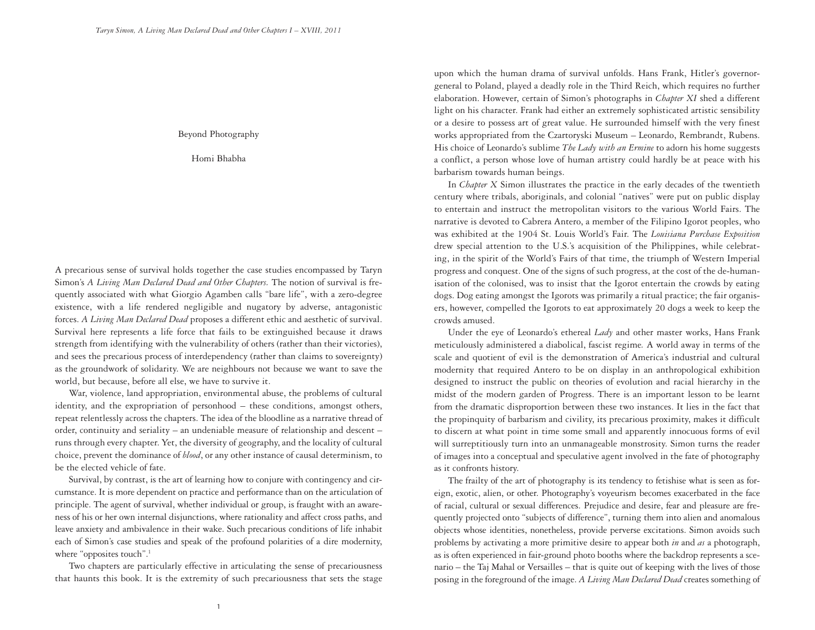Beyond Photography

Homi Bhabha

A precarious sense of survival holds together the case studies encompassed by Taryn Simon's *A Living Man Declared Dead and Other Chapters.* The notion of survival is frequently associated with what Giorgio Agamben calls "bare life", with a zero-degree existence, with a life rendered negligible and nugatory by adverse, antagonistic forces. *A Living Man Declared Dead* proposes a different ethic and aesthetic of survival. Survival here represents a life force that fails to be extinguished because it draws strength from identifying with the vulnerability of others (rather than their victories), and sees the precarious process of interdependency (rather than claims to sovereignty) as the groundwork of solidarity. We are neighbours not because we want to save the world, but because, before all else, we have to survive it.

War, violence, land appropriation, environmental abuse, the problems of cultural identity, and the expropriation of personhood – these conditions, amongst others, repeat relentlessly across the chapters. The idea of the bloodline as a narrative thread of order, continuity and seriality – an undeniable measure of relationship and descent – runs through every chapter. Yet, the diversity of geography, and the locality of cultural choice, prevent the dominance of *blood*, or any other instance of causal determinism, to be the elected vehicle of fate.

Survival, by contrast, is the art of learning how to conjure with contingency and circumstance. It is more dependent on practice and performance than on the articulation of principle. The agent of survival, whether individual or group, is fraught with an awareness of his or her own internal disjunctions, where rationality and affect cross paths, and leave anxiety and ambivalence in their wake. Such precarious conditions of life inhabit each of Simon's case studies and speak of the profound polarities of a dire modernity, where "opposites touch".<sup>1</sup>

Two chapters are particularly effective in articulating the sense of precariousness that haunts this book. It is the extremity of such precariousness that sets the stage upon which the human drama of survival unfolds. Hans Frank, Hitler's governorgeneral to Poland, played a deadly role in the Third Reich, which requires no further elaboration. However, certain of Simon's photographs in *Chapter XI* shed a different light on his character. Frank had either an extremely sophisticated artistic sensibility or a desire to possess art of great value. He surrounded himself with the very finest works appropriated from the Czartoryski Museum – Leonardo, Rembrandt, Rubens. His choice of Leonardo's sublime *The Lady with an Ermine* to adorn his home suggests a conflict, a person whose love of human artistry could hardly be at peace with his barbarism towards human beings.

In *Chapter X* Simon illustrates the practice in the early decades of the twentieth century where tribals, aboriginals, and colonial "natives" were put on public display to entertain and instruct the metropolitan visitors to the various World Fairs. The narrative is devoted to Cabrera Antero, a member of the Filipino Igorot peoples, who was exhibited at the 1904 St. Louis World's Fair. The *Louisiana Purchase Exposition* drew special attention to the U.S.'s acquisition of the Philippines, while celebrating, in the spirit of the World's Fairs of that time, the triumph of Western Imperial progress and conquest. One of the signs of such progress, at the cost of the de-humanisation of the colonised, was to insist that the Igorot entertain the crowds by eating dogs. Dog eating amongst the Igorots was primarily a ritual practice; the fair organisers, however, compelled the Igorots to eat approximately 20 dogs a week to keep the crowds amused.

Under the eye of Leonardo's ethereal *Lady* and other master works, Hans Frank meticulously administered a diabolical, fascist regime*.* A world away in terms of the scale and quotient of evil is the demonstration of America's industrial and cultural modernity that required Antero to be on display in an anthropological exhibition designed to instruct the public on theories of evolution and racial hierarchy in the midst of the modern garden of Progress. There is an important lesson to be learnt from the dramatic disproportion between these two instances. It lies in the fact that the propinquity of barbarism and civility, its precarious proximity, makes it difficult to discern at what point in time some small and apparently innocuous forms of evil will surreptitiously turn into an unmanageable monstrosity. Simon turns the reader of images into a conceptual and speculative agent involved in the fate of photography as it confronts history.

The frailty of the art of photography is its tendency to fetishise what is seen as foreign, exotic, alien, or other. Photography's voyeurism becomes exacerbated in the face of racial, cultural or sexual differences. Prejudice and desire, fear and pleasure are frequently projected onto "subjects of difference", turning them into alien and anomalous objects whose identities, nonetheless, provide perverse excitations. Simon avoids such problems by activating a more primitive desire to appear both *in* and *as* a photograph, as is often experienced in fair-ground photo booths where the backdrop represents a scenario – the Taj Mahal or Versailles – that is quite out of keeping with the lives of those posing in the foreground of the image. *A Living Man Declared Dead* creates something of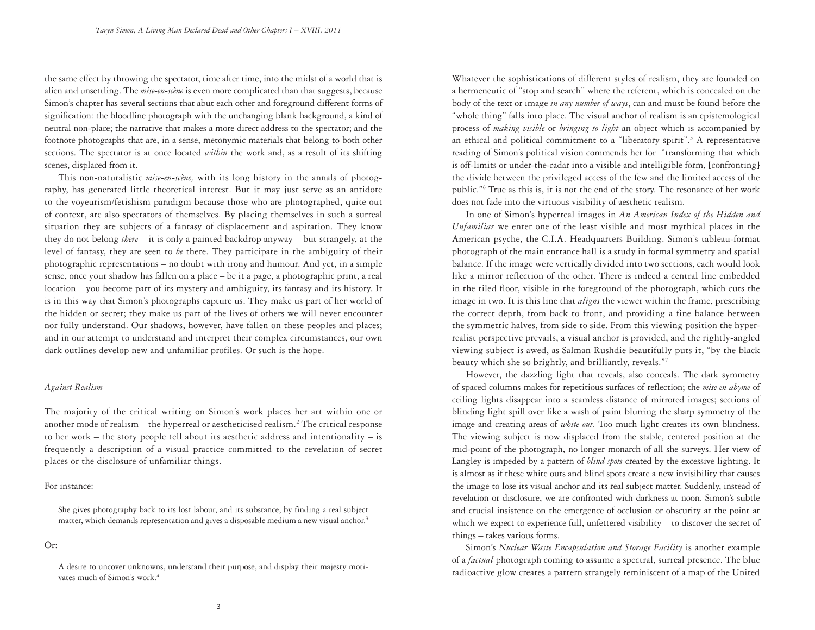the same effect by throwing the spectator, time after time, into the midst of a world that is alien and unsettling. The *mise-en-scène* is even more complicated than that suggests, because Simon's chapter has several sections that abut each other and foreground different forms of signification: the bloodline photograph with the unchanging blank background, a kind of neutral non-place; the narrative that makes a more direct address to the spectator; and the footnote photographs that are, in a sense, metonymic materials that belong to both other sections. The spectator is at once located *within* the work and, as a result of its shifting scenes, displaced from it.

This non-naturalistic *mise-en-scène,* with its long history in the annals of photography, has generated little theoretical interest. But it may just serve as an antidote to the voyeurism/fetishism paradigm because those who are photographed, quite out of context, are also spectators of themselves. By placing themselves in such a surreal situation they are subjects of a fantasy of displacement and aspiration. They know they do not belong *there* – it is only a painted backdrop anyway – but strangely, at the level of fantasy, they are seen to *be* there. They participate in the ambiguity of their photographic representations – no doubt with irony and humour. And yet, in a simple sense, once your shadow has fallen on a place – be it a page, a photographic print, a real location – you become part of its mystery and ambiguity, its fantasy and its history. It is in this way that Simon's photographs capture us. They make us part of her world of the hidden or secret; they make us part of the lives of others we will never encounter nor fully understand. Our shadows, however, have fallen on these peoples and places; and in our attempt to understand and interpret their complex circumstances, our own dark outlines develop new and unfamiliar profiles. Or such is the hope.

## *Against Realism*

The majority of the critical writing on Simon's work places her art within one or another mode of realism  $-$  the hyperreal or aestheticised realism.<sup>2</sup> The critical response to her work – the story people tell about its aesthetic address and intentionality – is frequently a description of a visual practice committed to the revelation of secret places or the disclosure of unfamiliar things.

### For instance:

She gives photography back to its lost labour, and its substance, by finding a real subject matter, which demands representation and gives a disposable medium a new visual anchor.<sup>3</sup>

## Or:

A desire to uncover unknowns, understand their purpose, and display their majesty motivates much of Simon's work.4

Whatever the sophistications of different styles of realism, they are founded on a hermeneutic of "stop and search" where the referent, which is concealed on the body of the text or image *in any number of ways*, can and must be found before the "whole thing" falls into place. The visual anchor of realism is an epistemological process of *making visible* or *bringing to light* an object which is accompanied by an ethical and political commitment to a "liberatory spirit".<sup>5</sup> A representative reading of Simon's political vision commends her for "transforming that which is off-limits or under-the-radar into a visible and intelligible form, [confronting] the divide between the privileged access of the few and the limited access of the public."<sup>6</sup> True as this is, it is not the end of the story. The resonance of her work does not fade into the virtuous visibility of aesthetic realism.

In one of Simon's hyperreal images in *An American Index of the Hidden and Unfamiliar* we enter one of the least visible and most mythical places in the American psyche, the C.I.A. Headquarters Building. Simon's tableau-format photograph of the main entrance hall is a study in formal symmetry and spatial balance. If the image were vertically divided into two sections, each would look like a mirror reflection of the other. There is indeed a central line embedded in the tiled floor, visible in the foreground of the photograph, which cuts the image in two. It is this line that *aligns* the viewer within the frame, prescribing the correct depth, from back to front, and providing a fine balance between the symmetric halves, from side to side. From this viewing position the hyperrealist perspective prevails, a visual anchor is provided, and the rightly-angled viewing subject is awed, as Salman Rushdie beautifully puts it, "by the black beauty which she so brightly, and brilliantly, reveals."<sup>7</sup>

However, the dazzling light that reveals, also conceals. The dark symmetry of spaced columns makes for repetitious surfaces of reflection; the *mise en abyme* of ceiling lights disappear into a seamless distance of mirrored images; sections of blinding light spill over like a wash of paint blurring the sharp symmetry of the image and creating areas of *white out*. Too much light creates its own blindness. The viewing subject is now displaced from the stable, centered position at the mid-point of the photograph, no longer monarch of all she surveys. Her view of Langley is impeded by a pattern of *blind spots* created by the excessive lighting. It is almost as if these white outs and blind spots create a new invisibility that causes the image to lose its visual anchor and its real subject matter. Suddenly, instead of revelation or disclosure, we are confronted with darkness at noon. Simon's subtle and crucial insistence on the emergence of occlusion or obscurity at the point at which we expect to experience full, unfettered visibility – to discover the secret of things – takes various forms.

Simon's *Nuclear Waste Encapsulation and Storage Facility* is another example of a *factual* photograph coming to assume a spectral, surreal presence. The blue radioactive glow creates a pattern strangely reminiscent of a map of the United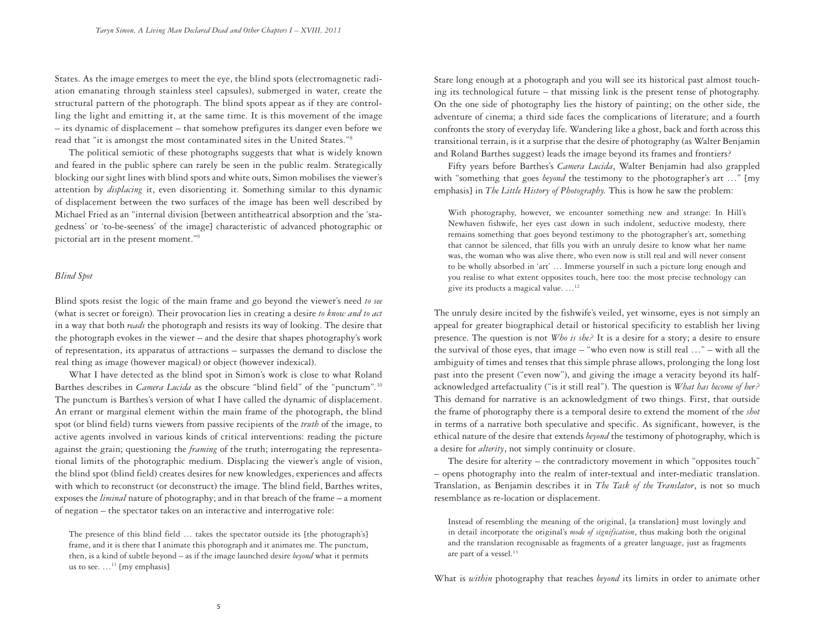States. As the image emerges to meet the eye, the blind spots (electromagnetic radiation emanating through stainless steel capsules), submerged in water, create the structural pattern of the photograph. The blind spots appear as if they are controlling the light and emitting it, at the same time. It is this movement of the image – its dynamic of displacement – that somehow prefigures its danger even before we read that "it is amongst the most contaminated sites in the United States."<sup>8</sup>

The political semiotic of these photographs suggests that what is widely known and feared in the public sphere can rarely be seen in the public realm. Strategically blocking our sight lines with blind spots and white outs, Simon mobilises the viewer's attention by *displacing* it, even disorienting it. Something similar to this dynamic of displacement between the two surfaces of the image has been well described by Michael Fried as an "internal division [between antitheatrical absorption and the 'stagedness' or 'to-be-seeness' of the image] characteristic of advanced photographic or pictorial art in the present moment."<sup>9</sup>

# *Blind Spot*

Blind spots resist the logic of the main frame and go beyond the viewer's need *to see* (what is secret or foreign). Their provocation lies in creating a desire *to know and to act* in a way that both *reads* the photograph and resists its way of looking. The desire that the photograph evokes in the viewer – and the desire that shapes photography's work of representation, its apparatus of attractions – surpasses the demand to disclose the real thing as image (however magical) or object (however indexical).

What I have detected as the blind spot in Simon's work is close to what Roland Barthes describes in *Camera Lucida* as the obscure "blind field" of the "punctum"*.* 10 The punctum is Barthes's version of what I have called the dynamic of displacement. An errant or marginal element within the main frame of the photograph, the blind spot (or blind field) turns viewers from passive recipients of the *truth* of the image, to active agents involved in various kinds of critical interventions: reading the picture against the grain; questioning the *framing* of the truth; interrogating the representational limits of the photographic medium. Displacing the viewer's angle of vision, the blind spot (blind field) creates desires for new knowledges, experiences and affects with which to reconstruct (or deconstruct) the image. The blind field, Barthes writes, exposes the *liminal* nature of photography; and in that breach of the frame – a moment of negation – the spectator takes on an interactive and interrogative role:

The presence of this blind field … takes the spectator outside its [the photograph's] frame, and it is there that I animate this photograph and it animates me. The punctum, then, is a kind of subtle beyond – as if the image launched desire *beyond* what it permits us to see.  $\dots$ <sup>11</sup> [my emphasis]

Stare long enough at a photograph and you will see its historical past almost touching its technological future – that missing link is the present tense of photography. On the one side of photography lies the history of painting; on the other side, the adventure of cinema; a third side faces the complications of literature; and a fourth confronts the story of everyday life. Wandering like a ghost, back and forth across this transitional terrain, is it a surprise that the desire of photography (as Walter Benjamin and Roland Barthes suggest) leads the image beyond its frames and frontiers?

Fifty years before Barthes's *Camera Lucida*, Walter Benjamin had also grappled with "something that goes *beyond* the testimony to the photographer's art ..." [my emphasis] in *The Little History of Photography.* This is how he saw the problem:

With photography, however, we encounter something new and strange: In Hill's Newhaven fishwife, her eyes cast down in such indolent, seductive modesty, there remains something that goes beyond testimony to the photographer's art, something that cannot be silenced, that fills you with an unruly desire to know what her name was, the woman who was alive there, who even now is still real and will never consent to be wholly absorbed in 'art' … Immerse yourself in such a picture long enough and you realise to what extent opposites touch, here too: the most precise technology can give its products a magical value. …12

The unruly desire incited by the fishwife's veiled, yet winsome, eyes is not simply an appeal for greater biographical detail or historical specificity to establish her living presence. The question is not *Who is she?* It is a desire for a story; a desire to ensure the survival of those eyes, that image – "who even now is still real  $\ldots$ " – with all the ambiguity of times and tenses that this simple phrase allows, prolonging the long lost past into the present ("even now"), and giving the image a veracity beyond its halfacknowledged artefactuality ("is it still real"). The question is *What has become of her?* This demand for narrative is an acknowledgment of two things. First, that outside the frame of photography there is a temporal desire to extend the moment of the *shot* in terms of a narrative both speculative and specific. As significant, however, is the ethical nature of the desire that extends *beyond* the testimony of photography, which is a desire for *alterity*, not simply continuity or closure.

The desire for alterity – the contradictory movement in which "opposites touch" – opens photography into the realm of inter-textual and inter-mediatic translation. Translation, as Benjamin describes it in *The Task of the Translator*, is not so much resemblance as re-location or displacement.

Instead of resembling the meaning of the original, [a translation] must lovingly and in detail incorporate the original's *mode of signification*, thus making both the original and the translation recognisable as fragments of a greater language, just as fragments are part of a vessel.<sup>13</sup>

What is *within* photography that reaches *beyond* its limits in order to animate other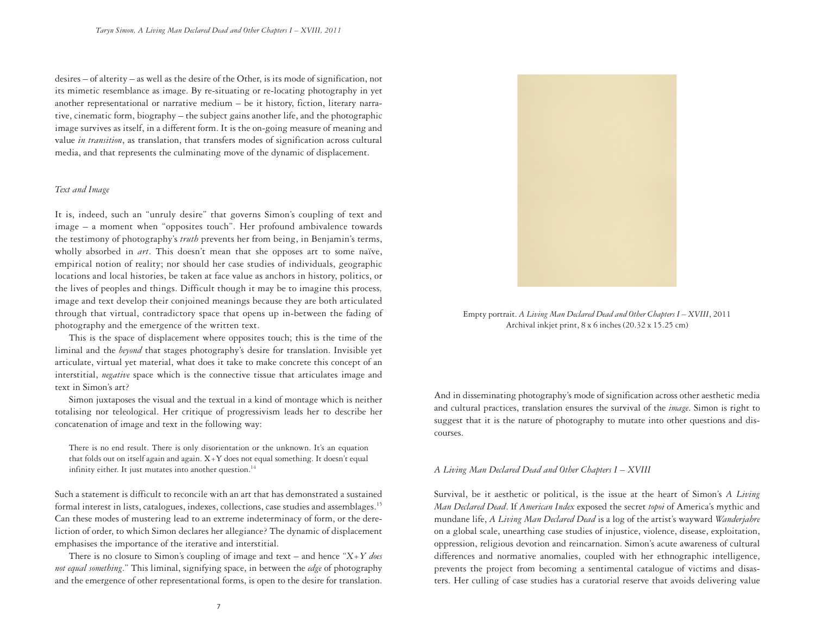desires – of alterity – as well as the desire of the Other, is its mode of signification, not its mimetic resemblance as image. By re-situating or re-locating photography in yet another representational or narrative medium – be it history, fiction, literary narrative, cinematic form, biography – the subject gains another life, and the photographic image survives as itself, in a different form. It is the on-going measure of meaning and value *in transition*, as translation, that transfers modes of signification across cultural media, and that represents the culminating move of the dynamic of displacement.

## *Text and Image*

It is, indeed, such an "unruly desire" that governs Simon's coupling of text and image – a moment when "opposites touch". Her profound ambivalence towards the testimony of photography's *truth* prevents her from being, in Benjamin's terms, wholly absorbed in *art*. This doesn't mean that she opposes art to some naïve, empirical notion of reality; nor should her case studies of individuals, geographic locations and local histories, be taken at face value as anchors in history, politics, or the lives of peoples and things. Difficult though it may be to imagine this process*,*  image and text develop their conjoined meanings because they are both articulated through that virtual, contradictory space that opens up in-between the fading of photography and the emergence of the written text.

This is the space of displacement where opposites touch; this is the time of the liminal and the *beyond* that stages photography's desire for translation. Invisible yet articulate, virtual yet material, what does it take to make concrete this concept of an interstitial, *negative* space which is the connective tissue that articulates image and text in Simon's art?

Simon juxtaposes the visual and the textual in a kind of montage which is neither totalising nor teleological. Her critique of progressivism leads her to describe her concatenation of image and text in the following way:

There is no end result. There is only disorientation or the unknown. It's an equation that folds out on itself again and again. X+Y does not equal something. It doesn't equal infinity either. It just mutates into another question.<sup>14</sup>

Such a statement is difficult to reconcile with an art that has demonstrated a sustained formal interest in lists, catalogues, indexes, collections, case studies and assemblages.<sup>15</sup> Can these modes of mustering lead to an extreme indeterminacy of form, or the dereliction of order, to which Simon declares her allegiance? The dynamic of displacement emphasises the importance of the iterative and interstitial.

There is no closure to Simon's coupling of image and text – and hence "*X+Y does not equal something*." This liminal, signifying space, in between the *edge* of photography and the emergence of other representational forms, is open to the desire for translation.



Empty portrait. *A Living Man Declared Dead and Other Chapters I – XVIII*, 2011 Archival inkjet print, 8 x 6 inches (20.32 x 15.25 cm)

And in disseminating photography's mode of signification across other aesthetic media and cultural practices, translation ensures the survival of the *image*. Simon is right to suggest that it is the nature of photography to mutate into other questions and discourses.

## *A Living Man Declared Dead and Other Chapters I – XVIII*

Survival, be it aesthetic or political, is the issue at the heart of Simon's *A Living Man Declared Dead*. If *American Index* exposed the secret *topoi* of America's mythic and mundane life, *A Living Man Declared Dead* is a log of the artist's wayward *Wanderjahre*  on a global scale, unearthing case studies of injustice, violence, disease, exploitation, oppression, religious devotion and reincarnation. Simon's acute awareness of cultural differences and normative anomalies, coupled with her ethnographic intelligence, prevents the project from becoming a sentimental catalogue of victims and disasters. Her culling of case studies has a curatorial reserve that avoids delivering value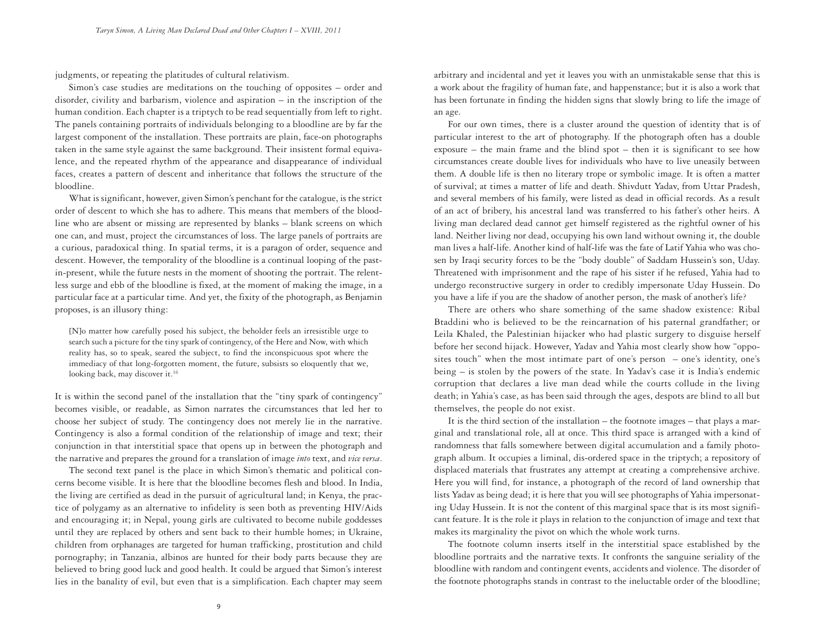judgments, or repeating the platitudes of cultural relativism.

Simon's case studies are meditations on the touching of opposites – order and disorder, civility and barbarism, violence and aspiration – in the inscription of the human condition. Each chapter is a triptych to be read sequentially from left to right. The panels containing portraits of individuals belonging to a bloodline are by far the largest component of the installation. These portraits are plain, face-on photographs taken in the same style against the same background. Their insistent formal equivalence, and the repeated rhythm of the appearance and disappearance of individual faces, creates a pattern of descent and inheritance that follows the structure of the bloodline.

What is significant, however, given Simon's penchant for the catalogue, is the strict order of descent to which she has to adhere. This means that members of the bloodline who are absent or missing are represented by blanks – blank screens on which one can, and must, project the circumstances of loss. The large panels of portraits are a curious, paradoxical thing. In spatial terms, it is a paragon of order, sequence and descent. However, the temporality of the bloodline is a continual looping of the pastin-present, while the future nests in the moment of shooting the portrait. The relentless surge and ebb of the bloodline is fixed, at the moment of making the image, in a particular face at a particular time. And yet, the fixity of the photograph, as Benjamin proposes, is an illusory thing:

[N]o matter how carefully posed his subject, the beholder feels an irresistible urge to search such a picture for the tiny spark of contingency, of the Here and Now, with which reality has, so to speak, seared the subject, to find the inconspicuous spot where the immediacy of that long-forgotten moment, the future, subsists so eloquently that we, looking back, may discover it.<sup>16</sup>

It is within the second panel of the installation that the "tiny spark of contingency" becomes visible, or readable, as Simon narrates the circumstances that led her to choose her subject of study. The contingency does not merely lie in the narrative. Contingency is also a formal condition of the relationship of image and text; their conjunction in that interstitial space that opens up in between the photograph and the narrative and prepares the ground for a translation of image *into* text, and *vice versa*.

The second text panel is the place in which Simon's thematic and political concerns become visible. It is here that the bloodline becomes flesh and blood. In India, the living are certified as dead in the pursuit of agricultural land; in Kenya, the practice of polygamy as an alternative to infidelity is seen both as preventing HIV/Aids and encouraging it; in Nepal, young girls are cultivated to become nubile goddesses until they are replaced by others and sent back to their humble homes; in Ukraine, children from orphanages are targeted for human trafficking, prostitution and child pornography; in Tanzania, albinos are hunted for their body parts because they are believed to bring good luck and good health. It could be argued that Simon's interest lies in the banality of evil, but even that is a simplification. Each chapter may seem arbitrary and incidental and yet it leaves you with an unmistakable sense that this is a work about the fragility of human fate, and happenstance; but it is also a work that has been fortunate in finding the hidden signs that slowly bring to life the image of an age.

For our own times, there is a cluster around the question of identity that is of particular interest to the art of photography. If the photograph often has a double exposure – the main frame and the blind spot – then it is significant to see how circumstances create double lives for individuals who have to live uneasily between them. A double life is then no literary trope or symbolic image. It is often a matter of survival; at times a matter of life and death. Shivdutt Yadav, from Uttar Pradesh, and several members of his family, were listed as dead in official records. As a result of an act of bribery, his ancestral land was transferred to his father's other heirs. A living man declared dead cannot get himself registered as the rightful owner of his land. Neither living nor dead, occupying his own land without owning it, the double man lives a half-life. Another kind of half-life was the fate of Latif Yahia who was chosen by Iraqi security forces to be the "body double" of Saddam Hussein's son, Uday. Threatened with imprisonment and the rape of his sister if he refused, Yahia had to undergo reconstructive surgery in order to credibly impersonate Uday Hussein. Do you have a life if you are the shadow of another person, the mask of another's life?

There are others who share something of the same shadow existence: Ribal Btaddini who is believed to be the reincarnation of his paternal grandfather; or Leila Khaled, the Palestinian hijacker who had plastic surgery to disguise herself before her second hijack. However, Yadav and Yahia most clearly show how "opposites touch" when the most intimate part of one's person – one's identity, one's being – is stolen by the powers of the state. In Yadav's case it is India's endemic corruption that declares a live man dead while the courts collude in the living death; in Yahia's case, as has been said through the ages, despots are blind to all but themselves, the people do not exist.

It is the third section of the installation – the footnote images – that plays a marginal and translational role, all at once. This third space is arranged with a kind of randomness that falls somewhere between digital accumulation and a family photograph album. It occupies a liminal, dis-ordered space in the triptych; a repository of displaced materials that frustrates any attempt at creating a comprehensive archive. Here you will find, for instance, a photograph of the record of land ownership that lists Yadav as being dead; it is here that you will see photographs of Yahia impersonating Uday Hussein. It is not the content of this marginal space that is its most significant feature. It is the role it plays in relation to the conjunction of image and text that makes its marginality the pivot on which the whole work turns.

The footnote column inserts itself in the interstitial space established by the bloodline portraits and the narrative texts. It confronts the sanguine seriality of the bloodline with random and contingent events, accidents and violence. The disorder of the footnote photographs stands in contrast to the ineluctable order of the bloodline;